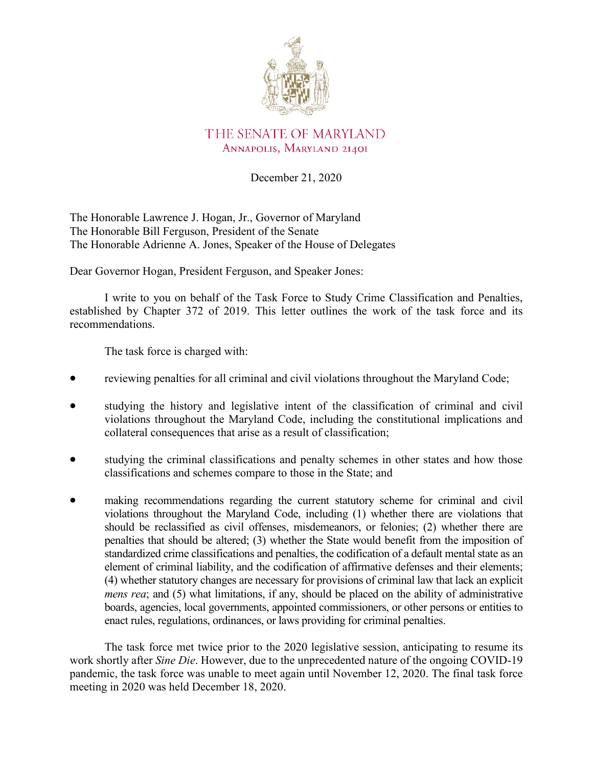

# THE SENATE OF MARYLAND ANNAPOLIS, MARYLAND 21401

December 21, 2020

The Honorable Lawrence J. Hogan, Jr., Governor of Maryland The Honorable Bill Ferguson, President of the Senate The Honorable Adrienne A. Jones, Speaker of the House of Delegates

Dear Governor Hogan, President Ferguson, and Speaker Jones:

I write to you on behalf of the Task Force to Study Crime Classification and Penalties, established by Chapter 372 of 2019. This letter outlines the work of the task force and its recommendations.

The task force is charged with:

- reviewing penalties for all criminal and civil violations throughout the Maryland Code;
- studying the history and legislative intent of the classification of criminal and civil violations throughout the Maryland Code, including the constitutional implications and collateral consequences that arise as a result of classification;
- studying the criminal classifications and penalty schemes in other states and how those classifications and schemes compare to those in the State; and
- making recommendations regarding the current statutory scheme for criminal and civil violations throughout the Maryland Code, including (1) whether there are violations that should be reclassified as civil offenses, misdemeanors, or felonies; (2) whether there are penalties that should be altered; (3) whether the State would benefit from the imposition of standardized crime classifications and penalties, the codification of a default mental state as an element of criminal liability, and the codification of affirmative defenses and their elements; (4) whether statutory changes are necessary for provisions of criminal law that lack an explicit *mens rea*; and (5) what limitations, if any, should be placed on the ability of administrative boards, agencies, local governments, appointed commissioners, or other persons or entities to enact rules, regulations, ordinances, or laws providing for criminal penalties.

The task force met twice prior to the 2020 legislative session, anticipating to resume its work shortly after *Sine Die*. However, due to the unprecedented nature of the ongoing COVID-19 pandemic, the task force was unable to meet again until November 12, 2020. The final task force meeting in 2020 was held December 18, 2020.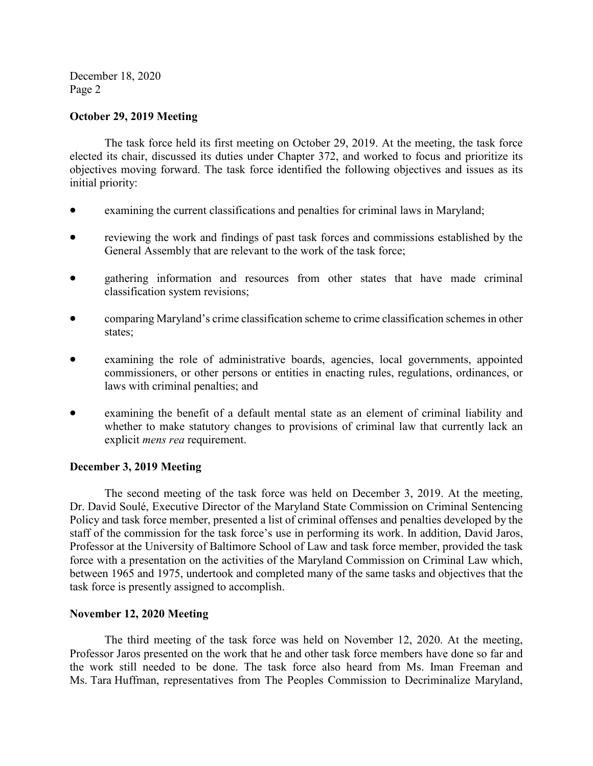December 18, 2020 Page 2

## **October 29, 2019 Meeting**

The task force held its first meeting on October 29, 2019. At the meeting, the task force elected its chair, discussed its duties under Chapter 372, and worked to focus and prioritize its objectives moving forward. The task force identified the following objectives and issues as its initial priority:

- examining the current classifications and penalties for criminal laws in Maryland;
- reviewing the work and findings of past task forces and commissions established by the General Assembly that are relevant to the work of the task force;
- gathering information and resources from other states that have made criminal classification system revisions;
- comparing Maryland's crime classification scheme to crime classification schemes in other states;
- examining the role of administrative boards, agencies, local governments, appointed commissioners, or other persons or entities in enacting rules, regulations, ordinances, or laws with criminal penalties; and
- examining the benefit of a default mental state as an element of criminal liability and whether to make statutory changes to provisions of criminal law that currently lack an explicit *mens rea* requirement.

#### **December 3, 2019 Meeting**

The second meeting of the task force was held on December 3, 2019. At the meeting, Dr. David Soulé, Executive Director of the Maryland State Commission on Criminal Sentencing Policy and task force member, presented a list of criminal offenses and penalties developed by the staff of the commission for the task force's use in performing its work. In addition, David Jaros, Professor at the University of Baltimore School of Law and task force member, provided the task force with a presentation on the activities of the Maryland Commission on Criminal Law which, between 1965 and 1975, undertook and completed many of the same tasks and objectives that the task force is presently assigned to accomplish.

#### **November 12, 2020 Meeting**

The third meeting of the task force was held on November 12, 2020. At the meeting, Professor Jaros presented on the work that he and other task force members have done so far and the work still needed to be done. The task force also heard from Ms. Iman Freeman and Ms. Tara Huffman, representatives from The Peoples Commission to Decriminalize Maryland,